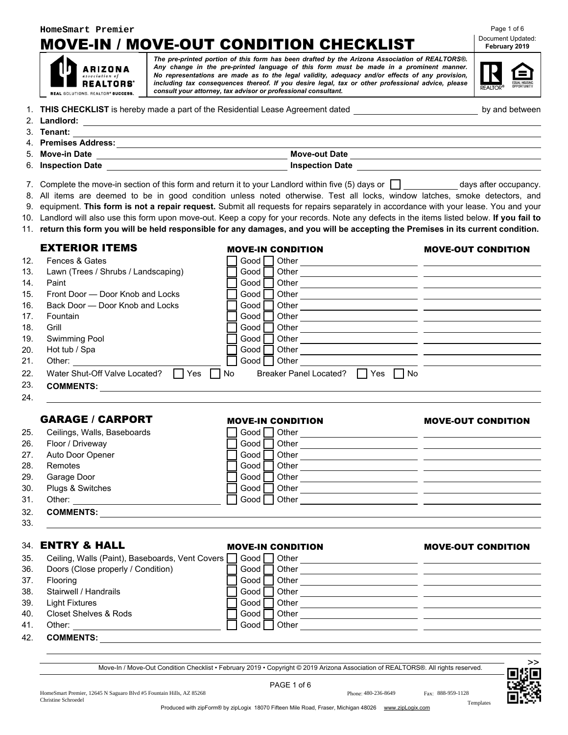### **HomeSmart Premier**

**ARIZONA REALTORS'** 

# MOVE-IN / MOVE-OUT CONDITION CHECKLIST **Document Updated:**

*The pre-printed portion of this form has been drafted by the Arizona Association of REALTORS®. Any change in the pre-printed language of this form must be made in a prominent manner. No representations are made as to the legal validity, adequacy and/or effects of any provision, including tax consequences thereof. If you desire legal, tax or other professional advice, please consult your attorney, tax advisor or professional consultant.* REAL SOLUTIONS. REALTOR® SUCCESS.

# Page 1 of 6 February 2019

| REALTOR® | EQUAL HOUSING<br>OPPORTUNITY |
|----------|------------------------------|
|          |                              |

by and between

|  | 1. THIS CHECKLIST is hereby made a part of the Residential Lease Agreement dated |  |
|--|----------------------------------------------------------------------------------|--|
|--|----------------------------------------------------------------------------------|--|

| 2. Landlord:         |                        |
|----------------------|------------------------|
| 3. Tenant:           |                        |
| 4. Premises Address: |                        |
| 5. Move-in Date      | <b>Move-out Date</b>   |
| 6. Inspection Date   | <b>Inspection Date</b> |

- 7. Complete the move-in section of this form and return it to your Landlord within five  $(5)$  days or  $\Box$  days after occupancy.
- 8. All items are deemed to be in good condition unless noted otherwise. Test all locks, window latches, smoke detectors, and
- 9. equipment. This form is not a repair request. Submit all requests for repairs separately in accordance with your lease. You and your
- 10. Landlord will also use this form upon move-out. Keep a copy for your records. Note any defects in the items listed below. If you fail to
- 11. return this form you will be held responsible for any damages, and you will be accepting the Premises in its current condition.

### EXTERIOR ITEMS MOVE-IN CONDITION MOVE-OUT CONDITION

| 12. | Fences & Gates                       | Good I | Other                                                               |  |
|-----|--------------------------------------|--------|---------------------------------------------------------------------|--|
| 13. | Lawn (Trees / Shrubs / Landscaping)  | Good   | Other                                                               |  |
| 14. | Paint                                | Good   | Other                                                               |  |
| 15. | Front Door — Door Knob and Locks     | Good   | Other                                                               |  |
| 16. | Back Door — Door Knob and Locks      | Good   | Other                                                               |  |
| 17. | Fountain                             | Good   | Other                                                               |  |
| 18. | Grill                                | Good   | Other                                                               |  |
| 19. | Swimming Pool                        | Good   | Other                                                               |  |
| 20. | Hot tub / Spa                        | Good   | Other                                                               |  |
| 21. | Other:                               | Good   | Other                                                               |  |
| 22. | Yes<br>Water Shut-Off Valve Located? | l No   | l No<br><b>Breaker Panel Located?</b><br><b>Yes</b><br>$\mathsf{L}$ |  |
| 23. | <b>COMMENTS:</b>                     |        |                                                                     |  |
| 24  |                                      |        |                                                                     |  |

### GARAGE / CARPORT MOVE-IN CONDITION MOVE-OUT CONDITION

### 25. Ceilings, Walls, Baseboards Good Good Other 26. Floor / Driveway **Good Other** Good Other **Constantine Cool** Other **Cool** Other **Cool** Other **Cool** Other **Cool** Cool **Cool** Other **Cool** Cool **Cool** Cool **Cool** Cool **Cool** Cool **Cool** Cool **Cool** Cool **Cool** Cool **Coo** 27. Auto Door Opener Good Good Other 28. Remotes  $\Box$  Good  $\Box$  Other  $\Box$ 29. Garage Door Good Other 30. Plugs & Switches **Conserverse Conserverse Conserverse Conserverse Conserverse Conserverse Conserverse Conserverse Conserverse Conserverse Conserverse Conserverse Conserverse Conserverse Conserverse Conserverse Conserve** 31. Other: Good Other: 32. COMMENTS:

33.

### 34. ENTRY & HALL MOVE-IN CONDITION MOVE-OUT CONDITION

### 35. Ceiling, Walls (Paint), Baseboards, Vent Covers  $\Box$  Good  $\Box$  Other  $\sim$   $-$ 36. Doors (Close properly / Condition) Good Other Content Condition Condition Condition Condition Condition Co 37. Flooring<br>38. Stairwell / Handrails **Good Other** Good Other **Cood Other Coole Coole (Coole Other Coole Other Coole Other Coole Coole Coole Coole Coole Coole Coole Coole Coole Coole Coole Coole Coole Coole Coole Coole Co** 37. Flooring Good Other 39. Light Fixtures Good Other 40. Closet Shelves & Rods **Closet Shelves & Rods** Closet Closet Shelves & Rods 41. Other: Good Other 42. COMMENTS:

Move-In / Move-Out Condition Checklist • February 2019 • Copyright © 2019 Arizona Association of REALTORS®. All rights reserved.

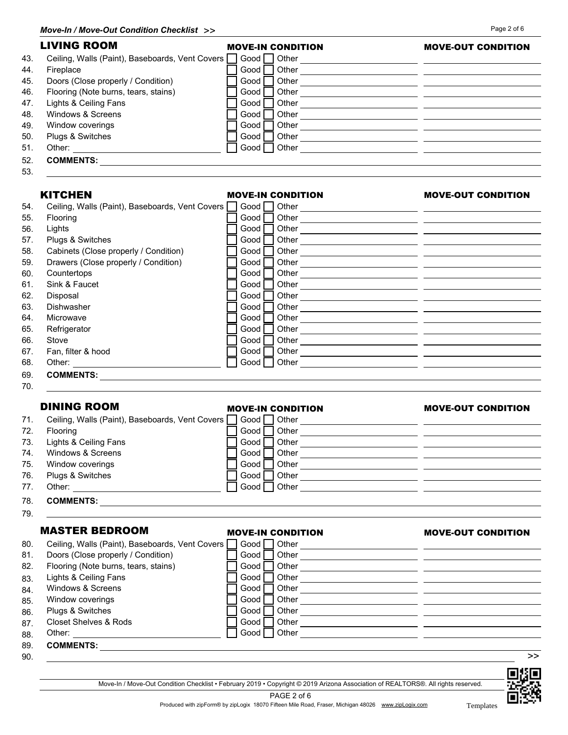|     | <b>LIVING ROOM</b>                              | <b>MOVE-IN CONDITION</b> | <b>MOVE-OUT CONDITION</b> |
|-----|-------------------------------------------------|--------------------------|---------------------------|
| 43. | Ceiling, Walls (Paint), Baseboards, Vent Covers | Good<br>Other            |                           |
| 44. | Fireplace                                       | Other<br>Good            |                           |
| 45. | Doors (Close properly / Condition)              | Other<br>Good            |                           |
| 46. | Flooring (Note burns, tears, stains)            | Other<br>Good            |                           |
| 47. | Lights & Ceiling Fans                           | Other<br>Good            |                           |
| 48. | Windows & Screens                               | Other<br>Good            |                           |
| 49. | Window coverings                                | Other<br>Good            |                           |
| 50. | Plugs & Switches                                | Other<br>Good            |                           |
| 51. | Other:                                          | Other<br>Good            |                           |
| 52. | <b>COMMENTS:</b>                                |                          |                           |
| 53. |                                                 |                          |                           |

## KITCHEN MOVE-IN CONDITION MOVE-OUT CONDITION

| 54. | Ceiling, Walls (Paint), Baseboards, Vent Covers | Good   | Other |
|-----|-------------------------------------------------|--------|-------|
| 55. | <b>Flooring</b>                                 | Good   | Other |
| 56. | Lights                                          | Good I | Other |
| 57. | Plugs & Switches                                | Good   | Other |
| 58. | Cabinets (Close properly / Condition)           | Good   | Other |
| 59. | Drawers (Close properly / Condition)            | Good   | Other |
| 60. | Countertops                                     | Good   | Other |
| 61. | Sink & Faucet                                   | Good   | Other |
| 62. | Disposal                                        | Good   | Other |
| 63. | Dishwasher                                      | Good   | Other |
| 64. | Microwave                                       | Good   | Other |
| 65. | Refrigerator                                    | Good   | Other |
| 66. | Stove                                           | Good   | Other |
| 67. | Fan, filter & hood                              | Good   | Other |
| 68. | Other:                                          | Good   | Other |
| 69. | <b>COMMENTS:</b>                                |        |       |
| 70. |                                                 |        |       |

# DINING ROOM MOVE-IN CONDITION MOVE-OUT CONDITION

| 71.  | Ceiling, Walls (Paint), Baseboards, Vent Covers | $\sqcap$ Good $\sqcap$ | Other |  |
|------|-------------------------------------------------|------------------------|-------|--|
| 72.  | <b>Flooring</b>                                 | Good I                 | Other |  |
| 73.  | Lights & Ceiling Fans                           | Good                   | Other |  |
| 74.  | Windows & Screens                               | Good                   | Other |  |
| 75.  | Window coverings                                | Good                   | Other |  |
| 76.  | Plugs & Switches                                | Good                   | Other |  |
| 77.  | Other:                                          | Good                   | Other |  |
| $ -$ | ----------                                      |                        |       |  |

- 78. COMMENTS:
- 79.

### MASTER BEDROOM MOVE-IN CONDITION MOVE-OUT CONDITION

| 80. | Ceiling, Walls (Paint), Baseboards, Vent Covers | Good   | Other |    |
|-----|-------------------------------------------------|--------|-------|----|
| 81. | Doors (Close properly / Condition)              | Good I | Other |    |
| 82. | Flooring (Note burns, tears, stains)            | Good   | Other |    |
| 83. | Lights & Ceiling Fans                           | Good   | Other |    |
| 84. | Windows & Screens                               | Good I | Other |    |
| 85. | Window coverings                                | Good I | Other |    |
| 86. | Plugs & Switches                                | Good   | Other |    |
| 87. | <b>Closet Shelves &amp; Rods</b>                | Good I | Other |    |
| 88. | Other:                                          | Good I | Other |    |
| 89. | <b>COMMENTS:</b>                                |        |       |    |
| 90. |                                                 |        |       | >> |



Move-In / Move-Out Condition Checklist • February 2019 • Copyright © 2019 Arizona Association of REALTORS®. All rights reserved. PAGE 2 of 6



Produced with zipForm® by zipLogix 18070 Fifteen Mile Road, Fraser, Michigan 48026 www.zipLogix.com Templates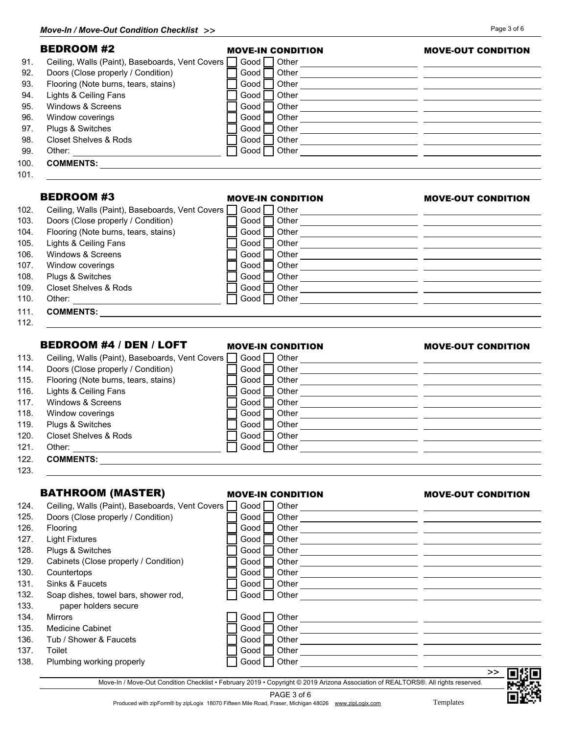| <b>BEDROOM #2</b>                               | <b>MOVE-IN CONDITION</b> | <b>MOVE-OUT CONDITION</b>                                                                                             |
|-------------------------------------------------|--------------------------|-----------------------------------------------------------------------------------------------------------------------|
| Ceiling, Walls (Paint), Baseboards, Vent Covers |                          |                                                                                                                       |
| Doors (Close properly / Condition)              | Good                     |                                                                                                                       |
| Flooring (Note burns, tears, stains)            | Good I                   |                                                                                                                       |
| Lights & Ceiling Fans                           | Good                     |                                                                                                                       |
| Windows & Screens                               | Good                     |                                                                                                                       |
| Window coverings                                | Good                     |                                                                                                                       |
| Plugs & Switches                                | Good                     |                                                                                                                       |
| <b>Closet Shelves &amp; Rods</b>                | Good I                   |                                                                                                                       |
|                                                 |                          |                                                                                                                       |
|                                                 |                          |                                                                                                                       |
| <b>BEDROOM #3</b>                               | <b>MOVE-IN CONDITION</b> | <b>MOVE-OUT CONDITION</b>                                                                                             |
| Ceiling, Walls (Paint), Baseboards, Vent Covers | Good $\Box$ Other        | <u> 1989 - Johann Harry Harry Harry Harry Harry Harry Harry Harry Harry Harry Harry Harry Harry Harry Harry Harry</u> |
| Doors (Close properly / Condition)              | Good $\Box$              |                                                                                                                       |
| Flooring (Note burns, tears, stains)            | Good $\Box$              |                                                                                                                       |
| Lights & Ceiling Fans                           | Good<br>Other            |                                                                                                                       |
| Windows & Screens                               | Good<br>Other            |                                                                                                                       |
| Window coverings                                | Good<br>Other            | <u> 2000 - Andrea State Barbara, poeta esperanto-se especialmente de la propia de la propia de la propia de la p</u>  |
| Plugs & Switches                                | Other<br>Good            | <u> 1989 - Andrea Barbara, poeta espainiar política establecera en la propia de la propia de la propia de la pro</u>  |
| <b>Closet Shelves &amp; Rods</b>                | Other<br>Good            | <u> 2000 - Andrea Andrew Maria (b. 2001)</u>                                                                          |
|                                                 | Good<br>Other            |                                                                                                                       |
|                                                 |                          | <u> 1989 - Andrea Andrew Maria (h. 1989).</u>                                                                         |
| <b>BEDROOM #4 / DEN / LOFT</b>                  | <b>MOVE-IN CONDITION</b> | <b>MOVE-OUT CONDITION</b>                                                                                             |
| Ceiling, Walls (Paint), Baseboards, Vent Covers |                          |                                                                                                                       |
| Doors (Close properly / Condition)              | Good                     |                                                                                                                       |
| Flooring (Note burns, tears, stains)            | Good                     |                                                                                                                       |
| Lights & Ceiling Fans                           | Good                     |                                                                                                                       |
| Windows & Screens                               | Good                     |                                                                                                                       |
| Window coverings                                | Good I                   | Other <b>Communication Communication Communication Communication Communication Communication Communication</b>        |
| Plugs & Switches                                | Good                     |                                                                                                                       |
| <b>Closet Shelves &amp; Rods</b>                | Other<br>Good            | <u> 1989 - Johann Barn, mars eta bat erroman erroman erroman erroman erroman erroman erroman erroman erroman err</u>  |
| Other:                                          | Good Other               |                                                                                                                       |
|                                                 |                          |                                                                                                                       |
| <b>BATHROOM (MASTER)</b>                        | <b>MOVE-IN CONDITION</b> | <b>MOVE-OUT CONDITION</b>                                                                                             |
| Ceiling, Walls (Paint), Baseboards, Vent Covers | Good $\Box$ Other        |                                                                                                                       |
| Doors (Close properly / Condition)              | Good                     |                                                                                                                       |
| Flooring                                        | Good                     |                                                                                                                       |
| <b>Light Fixtures</b>                           | Good                     |                                                                                                                       |
| Plugs & Switches                                | Good                     |                                                                                                                       |
| Cabinets (Close properly / Condition)           | Good                     |                                                                                                                       |
| Countertops                                     | Good<br>Other            |                                                                                                                       |
| Sinks & Faucets                                 | Good                     |                                                                                                                       |
| Soap dishes, towel bars, shower rod,            | Good                     |                                                                                                                       |
|                                                 |                          |                                                                                                                       |

| 134. | <b>Mirrors</b> |
|------|----------------|
|      |                |

- 135. Medicine Cabinet Good Duncan Cood Duncan Cood Duncan Cood Duncan Cood Duncan Cood Duncan Cood D
- 136. Tub / Shower & Faucets Good Good Other
- 137. Toilet Good Other
- 138. Plumbing working properly Good Good Other

Move-In / Move-Out Condition Checklist • February 2019 • Copyright © 2019 Arizona Association of REALTORS®. All rights reserved.

134. Mirrors Good Outher<br>134. Mirrors Good Outher <u>Communist Communist Communist Communist</u><br>2009 Outlet Communist Communist Communist Communist Communist Communist Communist Communist Communist Communis

PAGE 3 of 6



- 
- 101.

Produced with zipForm® by zipLogix 18070 Fifteen Mile Road, Fraser, Michigan 48026 www.zipLogix.com Templates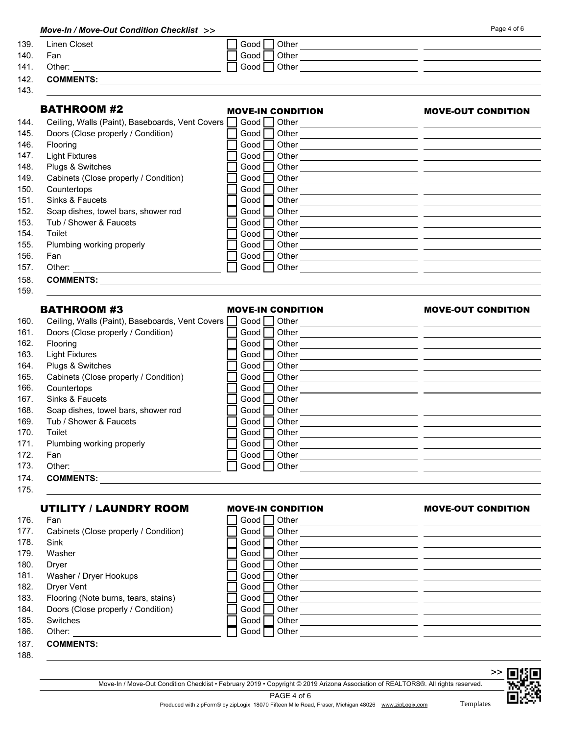| Linen Closet                                                               | Good<br>Other                                                           |                                                                                                                       |
|----------------------------------------------------------------------------|-------------------------------------------------------------------------|-----------------------------------------------------------------------------------------------------------------------|
| Fan                                                                        | Good                                                                    | <u> 1989 - Andrea Stadt, fransk politik (d. 1989)</u>                                                                 |
| Other:                                                                     | Good<br>Other                                                           | <u> 1989 - Johann Stoff, deutscher Stoff, der Stoff, der Stoff, der Stoff, der Stoff, der Stoff, der Stoff, der S</u> |
|                                                                            |                                                                         |                                                                                                                       |
|                                                                            |                                                                         |                                                                                                                       |
| <b>BATHROOM #2</b>                                                         | <b>MOVE-IN CONDITION</b>                                                | <b>MOVE-OUT CONDITION</b>                                                                                             |
|                                                                            | Ceiling, Walls (Paint), Baseboards, Vent Covers<br>Good $\Box$<br>Other | <u> 1989 - Johann Barn, fransk politik (f. 1989)</u>                                                                  |
| Doors (Close properly / Condition)                                         | Good<br>Other                                                           | <u> 1989 - Johann Harry Harry Barn, amerikan bahasa pengaran pengaran pengaran pengaran pengaran pengaran pengara</u> |
| Flooring                                                                   | Good<br>Other                                                           | <u> 1989 - Johann Barn, mars ann an t-Amhain an t-Amhain ann an t-Amhain an t-Amhain an t-Amhain an t-Amhain ann </u> |
| <b>Light Fixtures</b>                                                      | Good<br>Other                                                           | <u> 1989 - Johann Barn, fransk politik (d. 1989)</u>                                                                  |
| Plugs & Switches                                                           | Good                                                                    |                                                                                                                       |
| Cabinets (Close properly / Condition)                                      | Good<br>Other                                                           | <u> 1989 - Johann Barn, fransk politik (f. 1989)</u>                                                                  |
| Countertops                                                                | Good<br>Other                                                           | <u> 1989 - Andrea Brand, amerikansk politik (d. 1989)</u>                                                             |
| Sinks & Faucets                                                            | Good<br>Other                                                           | <u> 1989 - Johann Harry Harry Harry Harry Harry Harry Harry Harry Harry Harry Harry Harry Harry Harry Harry Harry</u> |
| Soap dishes, towel bars, shower rod                                        | Good<br>Other                                                           | <u> 1989 - Johann Harry Harry Harry Harry Harry Harry Harry Harry Harry Harry Harry Harry Harry Harry Harry Harry</u> |
| Tub / Shower & Faucets                                                     | Good<br>Other                                                           | <u> 1989 - Andrea Barbara, Amerikaansk politiker (d. 1989)</u>                                                        |
| Toilet                                                                     | Good<br>Other                                                           |                                                                                                                       |
| Plumbing working properly                                                  | Good<br>Other                                                           |                                                                                                                       |
| Fan                                                                        | Good<br>Other                                                           | <u> 1989 - Andrea Stadt, fransk politik (d. 1989)</u>                                                                 |
| Other:                                                                     | Other<br>Good                                                           | <u> 1989 - Andrea Andrew Maria (h. 1989).</u>                                                                         |
|                                                                            |                                                                         |                                                                                                                       |
| <b>BATHROOM #3</b>                                                         | <b>MOVE-IN CONDITION</b>                                                | <b>MOVE-OUT CONDITION</b>                                                                                             |
|                                                                            | Ceiling, Walls (Paint), Baseboards, Vent Covers<br>Good                 |                                                                                                                       |
| Doors (Close properly / Condition)                                         | Good                                                                    |                                                                                                                       |
| Flooring                                                                   | Good                                                                    |                                                                                                                       |
| <b>Light Fixtures</b>                                                      | Good                                                                    |                                                                                                                       |
| Plugs & Switches                                                           | Good                                                                    | Other $\qquad \qquad$                                                                                                 |
| Cabinets (Close properly / Condition)                                      | Good                                                                    |                                                                                                                       |
| Countertops                                                                | Good                                                                    |                                                                                                                       |
| Sinks & Faucets                                                            | Good                                                                    |                                                                                                                       |
| Soap dishes, towel bars, shower rod                                        | Good                                                                    |                                                                                                                       |
| Tub / Shower & Faucets                                                     | Good<br>Other                                                           | <u> 1980 - Jan Stein Stein Stein Stein Stein Stein Stein Stein Stein Stein Stein Stein Stein Stein Stein Stein S</u>  |
| Toilet                                                                     | Good    <br>Other                                                       |                                                                                                                       |
| Plumbing working properly                                                  | Good                                                                    |                                                                                                                       |
| Fan                                                                        | Good                                                                    |                                                                                                                       |
|                                                                            | Good $\Box$                                                             |                                                                                                                       |
|                                                                            |                                                                         |                                                                                                                       |
|                                                                            |                                                                         |                                                                                                                       |
|                                                                            |                                                                         |                                                                                                                       |
| <b>UTILITY / LAUNDRY ROOM</b>                                              | <b>MOVE-IN CONDITION</b>                                                |                                                                                                                       |
| Fan                                                                        | Good                                                                    |                                                                                                                       |
| Cabinets (Close properly / Condition)                                      | Good                                                                    |                                                                                                                       |
| Sink                                                                       | Good                                                                    |                                                                                                                       |
| Washer                                                                     | Good<br>Other                                                           | <u> 1980 - Andrea Andrew Maria (h. 1980).</u>                                                                         |
| Dryer                                                                      | Good<br>Other                                                           |                                                                                                                       |
| Washer / Dryer Hookups                                                     | Good<br>Other                                                           | <b>MOVE-OUT CONDITION</b><br><u> 1989 - Andrea Andrew Maria (h. 1989).</u>                                            |
| <b>Dryer Vent</b>                                                          | Good<br>Other                                                           | <u> 1980 - Jan James James, politik eta politik eta politik eta politik eta politik eta politik eta politik eta </u>  |
| Flooring (Note burns, tears, stains)<br>Doors (Close properly / Condition) | Good<br>Other<br>Good<br>Other                                          | <u> 1989 - Johann Stein, mars an deutscher Stein († 1908)</u>                                                         |

|     | 185. Switches       | Good   Other                       |
|-----|---------------------|------------------------------------|
| 100 | $\bigcap_{i=1}^{n}$ | $\Box$ $\sim$ $\Box$ $\sim$ $\sim$ |

186. Other: Good | Other:

187. COMMENTS:

188.

Move-In / Move-Out Condition Checklist • February 2019 • Copyright © 2019 Arizona Association of REALTORS®. All rights reserved.



PAGE 4 of 6 Produced with zipForm® by zipLogix 18070 Fifteen Mile Road, Fraser, Michigan 48026 www.zipLogix.com Templates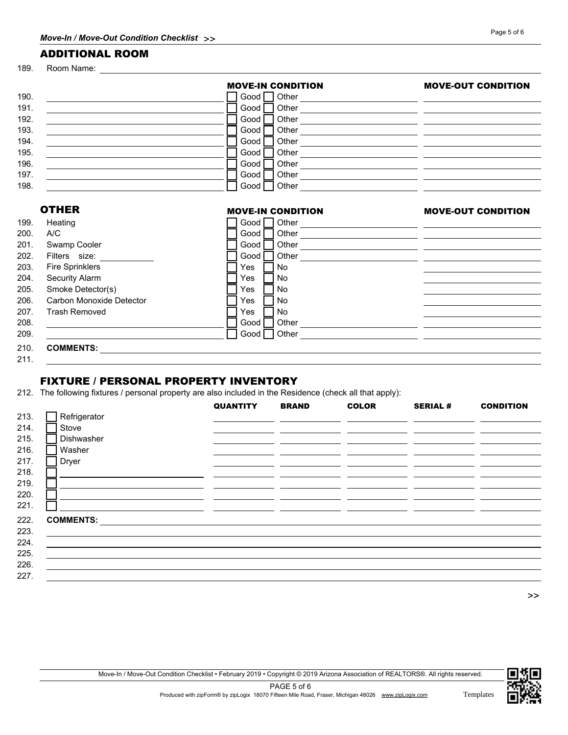### ADDITIONAL ROOM

189. Room Name:

|      |                          | <b>MOVE-IN CONDITION</b>                                                                                       | <b>MOVE-OUT CONDITION</b>                                          |
|------|--------------------------|----------------------------------------------------------------------------------------------------------------|--------------------------------------------------------------------|
| 190. |                          | Good   Other   2000   Other   2000   2010   2010   2010   2021   2021   2021   2021   2021   2021   2021   202 |                                                                    |
| 191. |                          | Good                                                                                                           |                                                                    |
| 192. |                          | Good                                                                                                           |                                                                    |
| 193. |                          | Good                                                                                                           |                                                                    |
| 194. |                          | Good                                                                                                           |                                                                    |
| 195. |                          | Good                                                                                                           |                                                                    |
| 196. |                          | Good                                                                                                           |                                                                    |
| 197. |                          | Good                                                                                                           |                                                                    |
| 198. |                          | Good Other Changes Cool Other                                                                                  |                                                                    |
|      | <b>OTHER</b>             | <b>MOVE-IN CONDITION</b>                                                                                       | <b>MOVE-OUT CONDITION</b>                                          |
|      |                          |                                                                                                                |                                                                    |
| 199. | Heating                  |                                                                                                                |                                                                    |
| 200. | A/C                      | Good                                                                                                           |                                                                    |
| 201. | Swamp Cooler             | Good                                                                                                           |                                                                    |
| 202. | Filters size:            | Good                                                                                                           |                                                                    |
| 203. | <b>Fire Sprinklers</b>   | <b>No</b><br>Yes                                                                                               |                                                                    |
| 204. | Security Alarm           | <b>No</b><br>Yes                                                                                               |                                                                    |
| 205. | Smoke Detector(s)        | <b>No</b><br>Yes                                                                                               |                                                                    |
| 206. | Carbon Monoxide Detector | No.<br>Yes                                                                                                     |                                                                    |
| 207. | <b>Trash Removed</b>     | No<br>Yes                                                                                                      |                                                                    |
| 208. |                          | Other<br>Good                                                                                                  | <u> 1980 - Jan Samuel Barbara, margaret eta idazlea (h. 1980).</u> |
| 209. |                          | Other<br>Good                                                                                                  |                                                                    |
| 210. | <b>COMMENTS:</b>         |                                                                                                                |                                                                    |

211.

### FIXTURE / PERSONAL PROPERTY INVENTORY

212. The following fixtures / personal property are also included in the Residence (check all that apply):

|      |                  | <b>QUANTITY</b> | <b>BRAND</b> | <b>COLOR</b> | <b>SERIAL #</b> | <b>CONDITION</b> |
|------|------------------|-----------------|--------------|--------------|-----------------|------------------|
| 213. | Refrigerator     |                 |              |              |                 |                  |
| 214. | Stove            |                 |              |              |                 |                  |
| 215. | Dishwasher       |                 |              |              |                 |                  |
| 216. | Washer           |                 |              |              |                 |                  |
| 217. | Dryer            |                 |              |              |                 |                  |
| 218. |                  |                 |              |              |                 |                  |
| 219. |                  |                 |              |              |                 |                  |
| 220. |                  |                 |              |              |                 |                  |
| 221. |                  |                 |              |              |                 |                  |
| 222. | <b>COMMENTS:</b> |                 |              |              |                 |                  |
| 223. |                  |                 |              |              |                 |                  |
| 224. |                  |                 |              |              |                 |                  |
| 225. |                  |                 |              |              |                 |                  |
| 226. |                  |                 |              |              |                 |                  |
| 227. |                  |                 |              |              |                 |                  |